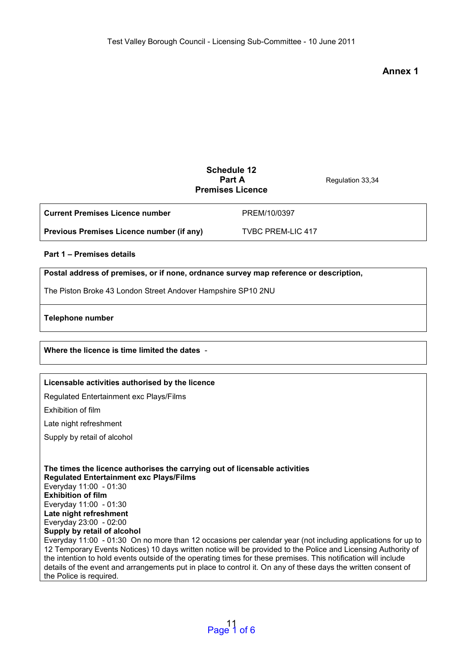## **Annex 1**

## **Schedule 12 Part A** Regulation 33,34 **Premises Licence**

| <b>Current Premises Licence number</b>    | PREM/10/0397             |
|-------------------------------------------|--------------------------|
| Previous Premises Licence number (if any) | <b>TVBC PREM-LIC 417</b> |

#### **Part 1 – Premises details**

**Postal address of premises, or if none, ordnance survey map reference or description,** 

The Piston Broke 43 London Street Andover Hampshire SP10 2NU

#### **Telephone number**

**Where the licence is time limited the dates** -

#### **Licensable activities authorised by the licence**

Regulated Entertainment exc Plays/Films

Exhibition of film

Late night refreshment

Supply by retail of alcohol

**The times the licence authorises the carrying out of licensable activities Regulated Entertainment exc Plays/Films**  Everyday 11:00 - 01:30 **Exhibition of film**  Everyday 11:00 - 01:30 **Late night refreshment**  Everyday 23:00 - 02:00

**Supply by retail of alcohol** 

Everyday 11:00 - 01:30 On no more than 12 occasions per calendar year (not including applications for up to 12 Temporary Events Notices) 10 days written notice will be provided to the Police and Licensing Authority of the intention to hold events outside of the operating times for these premises. This notification will include details of the event and arrangements put in place to control it. On any of these days the written consent of the Police is required.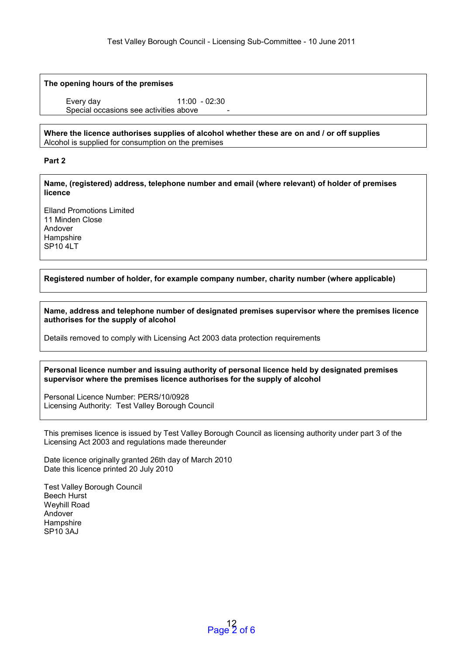**The opening hours of the premises** 

Every day 11:00 - 02:30 Special occasions see activities above

**Where the licence authorises supplies of alcohol whether these are on and / or off supplies** Alcohol is supplied for consumption on the premises

**Part 2** 

**Name, (registered) address, telephone number and email (where relevant) of holder of premises licence** 

Elland Promotions Limited 11 Minden Close Andover **Hampshire** SP10 4LT

**Registered number of holder, for example company number, charity number (where applicable)** 

**Name, address and telephone number of designated premises supervisor where the premises licence authorises for the supply of alcohol** 

Details removed to comply with Licensing Act 2003 data protection requirements

#### **Personal licence number and issuing authority of personal licence held by designated premises supervisor where the premises licence authorises for the supply of alcohol**

Personal Licence Number: PERS/10/0928 Licensing Authority: Test Valley Borough Council

This premises licence is issued by Test Valley Borough Council as licensing authority under part 3 of the Licensing Act 2003 and regulations made thereunder

Date licence originally granted 26th day of March 2010 Date this licence printed 20 July 2010

Test Valley Borough Council Beech Hurst Weyhill Road Andover Hampshire SP10 3AJ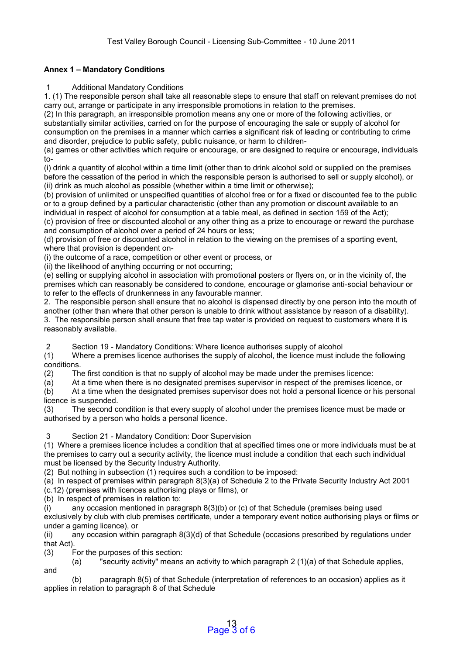# **Annex 1 – Mandatory Conditions**

## **Additional Mandatory Conditions**

1. (1) The responsible person shall take all reasonable steps to ensure that staff on relevant premises do not carry out, arrange or participate in any irresponsible promotions in relation to the premises.

(2) In this paragraph, an irresponsible promotion means any one or more of the following activities, or substantially similar activities, carried on for the purpose of encouraging the sale or supply of alcohol for consumption on the premises in a manner which carries a significant risk of leading or contributing to crime and disorder, prejudice to public safety, public nuisance, or harm to children-

(a) games or other activities which require or encourage, or are designed to require or encourage, individuals to-

(i) drink a quantity of alcohol within a time limit (other than to drink alcohol sold or supplied on the premises before the cessation of the period in which the responsible person is authorised to sell or supply alcohol), or (ii) drink as much alcohol as possible (whether within a time limit or otherwise);

(b) provision of unlimited or unspecified quantities of alcohol free or for a fixed or discounted fee to the public or to a group defined by a particular characteristic (other than any promotion or discount available to an individual in respect of alcohol for consumption at a table meal, as defined in section 159 of the Act);

(c) provision of free or discounted alcohol or any other thing as a prize to encourage or reward the purchase and consumption of alcohol over a period of 24 hours or less;

(d) provision of free or discounted alcohol in relation to the viewing on the premises of a sporting event, where that provision is dependent on-

(i) the outcome of a race, competition or other event or process, or

(ii) the likelihood of anything occurring or not occurring;

(e) selling or supplying alcohol in association with promotional posters or flyers on, or in the vicinity of, the premises which can reasonably be considered to condone, encourage or glamorise anti-social behaviour or to refer to the effects of drunkenness in any favourable manner.

2. The responsible person shall ensure that no alcohol is dispensed directly by one person into the mouth of another (other than where that other person is unable to drink without assistance by reason of a disability). 3. The responsible person shall ensure that free tap water is provided on request to customers where it is reasonably available.

2 Section 19 - Mandatory Conditions: Where licence authorises supply of alcohol (1) Where a premises licence authorises the supply of alcohol, the licence must inc (1) Where a premises licence authorises the supply of alcohol, the licence must include the following conditions.

(2) The first condition is that no supply of alcohol may be made under the premises licence:

(a) At a time when there is no designated premises supervisor in respect of the premises licence, or

(b) At a time when the designated premises supervisor does not hold a personal licence or his personal licence is suspended.

(3) The second condition is that every supply of alcohol under the premises licence must be made or authorised by a person who holds a personal licence.

3 Section 21 - Mandatory Condition: Door Supervision

(1) Where a premises licence includes a condition that at specified times one or more individuals must be at the premises to carry out a security activity, the licence must include a condition that each such individual must be licensed by the Security Industry Authority.

(2) But nothing in subsection (1) requires such a condition to be imposed:

(a) In respect of premises within paragraph 8(3)(a) of Schedule 2 to the Private Security Industry Act 2001 (c.12) (premises with licences authorising plays or films), or

(b) In respect of premises in relation to:

 $(i)$  any occasion mentioned in paragraph  $8(3)(b)$  or (c) of that Schedule (premises being used exclusively by club with club premises certificate, under a temporary event notice authorising plays or films or under a gaming licence), or

(ii) any occasion within paragraph 8(3)(d) of that Schedule (occasions prescribed by regulations under that Act).

(3) For the purposes of this section:

 (a) "security activity" means an activity to which paragraph 2 (1)(a) of that Schedule applies, and

 (b) paragraph 8(5) of that Schedule (interpretation of references to an occasion) applies as it applies in relation to paragraph 8 of that Schedule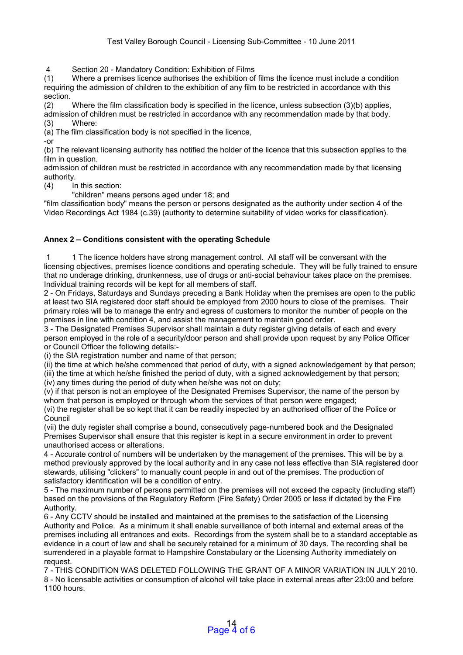4 Section 20 - Mandatory Condition: Exhibition of Films

(1) Where a premises licence authorises the exhibition of films the licence must include a condition requiring the admission of children to the exhibition of any film to be restricted in accordance with this section.

(2) Where the film classification body is specified in the licence, unless subsection (3)(b) applies, admission of children must be restricted in accordance with any recommendation made by that body. (3) Where:

(a) The film classification body is not specified in the licence,

-or

(b) The relevant licensing authority has notified the holder of the licence that this subsection applies to the film in question.

admission of children must be restricted in accordance with any recommendation made by that licensing authority.

(4) In this section:

"children" means persons aged under 18; and

"film classification body" means the person or persons designated as the authority under section 4 of the Video Recordings Act 1984 (c.39) (authority to determine suitability of video works for classification).

# **Annex 2 – Conditions consistent with the operating Schedule**

 1 1 The licence holders have strong management control. All staff will be conversant with the licensing objectives, premises licence conditions and operating schedule. They will be fully trained to ensure that no underage drinking, drunkenness, use of drugs or anti-social behaviour takes place on the premises. Individual training records will be kept for all members of staff.

2 - On Fridays, Saturdays and Sundays preceding a Bank Holiday when the premises are open to the public at least two SIA registered door staff should be employed from 2000 hours to close of the premises. Their primary roles will be to manage the entry and egress of customers to monitor the number of people on the premises in line with condition 4, and assist the management to maintain good order.

3 - The Designated Premises Supervisor shall maintain a duty register giving details of each and every person employed in the role of a security/door person and shall provide upon request by any Police Officer or Council Officer the following details:-

(i) the SIA registration number and name of that person;

(ii) the time at which he/she commenced that period of duty, with a signed acknowledgement by that person; (iii) the time at which he/she finished the period of duty, with a signed acknowledgement by that person;

(iv) any times during the period of duty when he/she was not on duty;

(v) if that person is not an employee of the Designated Premises Supervisor, the name of the person by whom that person is employed or through whom the services of that person were engaged;

(vi) the register shall be so kept that it can be readily inspected by an authorised officer of the Police or Council

(vii) the duty register shall comprise a bound, consecutively page-numbered book and the Designated Premises Supervisor shall ensure that this register is kept in a secure environment in order to prevent unauthorised access or alterations.

4 - Accurate control of numbers will be undertaken by the management of the premises. This will be by a method previously approved by the local authority and in any case not less effective than SIA registered door stewards, utilising "clickers" to manually count people in and out of the premises. The production of satisfactory identification will be a condition of entry.

5 - The maximum number of persons permitted on the premises will not exceed the capacity (including staff) based on the provisions of the Regulatory Reform (Fire Safety) Order 2005 or less if dictated by the Fire Authority.

6 - Any CCTV should be installed and maintained at the premises to the satisfaction of the Licensing Authority and Police. As a minimum it shall enable surveillance of both internal and external areas of the premises including all entrances and exits. Recordings from the system shall be to a standard acceptable as evidence in a court of law and shall be securely retained for a minimum of 30 days. The recording shall be surrendered in a playable format to Hampshire Constabulary or the Licensing Authority immediately on request.

7 - THIS CONDITION WAS DELETED FOLLOWING THE GRANT OF A MINOR VARIATION IN JULY 2010. 8 - No licensable activities or consumption of alcohol will take place in external areas after 23:00 and before 1100 hours.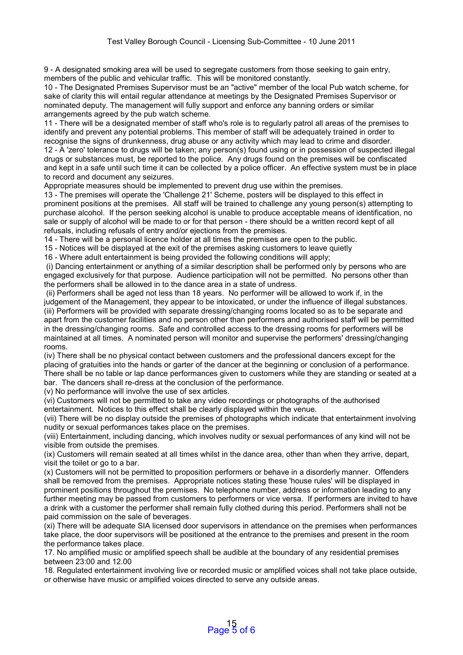9 - A designated smoking area will be used to segregate customers from those seeking to gain entry, members of the public and vehicular traffic. This will be monitored constantly.

10 - The Designated Premises Supervisor must be an "active" member of the local Pub watch scheme, for sake of clarity this will entail regular attendance at meetings by the Designated Premises Supervisor or nominated deputy. The management will fully support and enforce any banning orders or similar arrangements agreed by the pub watch scheme.

11 - There will be a designated member of staff who's role is to regularly patrol all areas of the premises to identify and prevent any potential problems. This member of staff will be adequately trained in order to recognise the signs of drunkenness, drug abuse or any activity which may lead to crime and disorder. 12 - A 'zero' tolerance to drugs will be taken; any person(s) found using or in possession of suspected illegal drugs or substances must, be reported to the police. Any drugs found on the premises will be confiscated and kept in a safe until such time it can be collected by a police officer. An effective system must be in place to record and document any seizures.

Appropriate measures should be implemented to prevent drug use within the premises.

13 - The premises will operate the 'Challenge 21' Scheme, posters will be displayed to this effect in prominent positions at the premises. All staff will be trained to challenge any young person(s) attempting to purchase alcohol. If the person seeking alcohol is unable to produce acceptable means of identification, no sale or supply of alcohol will be made to or for that person - there should be a written record kept of all refusals, including refusals of entry and/or ejections from the premises.

14 - There will be a personal licence holder at all times the premises are open to the public.

15 - Notices will be displayed at the exit of the premises asking customers to leave quietly

16 - Where adult entertainment is being provided the following conditions will apply;

 (i) Dancing entertainment or anything of a similar description shall be performed only by persons who are engaged exclusively for that purpose. Audience participation will not be permitted. No persons other than the performers shall be allowed in to the dance area in a state of undress.

 (ii) Performers shall be aged not less than 18 years. No performer will be allowed to work if, in the judgement of the Management, they appear to be intoxicated, or under the influence of illegal substances. (iii) Performers will be provided with separate dressing/changing rooms located so as to be separate and apart from the customer facilities and no person other than performers and authorised staff will be permitted in the dressing/changing rooms. Safe and controlled access to the dressing rooms for performers will be maintained at all times. A nominated person will monitor and supervise the performers' dressing/changing rooms.

(iv) There shall be no physical contact between customers and the professional dancers except for the placing of gratuities into the hands or garter of the dancer at the beginning or conclusion of a performance. There shall be no table or lap dance performances given to customers while they are standing or seated at a bar. The dancers shall re-dress at the conclusion of the performance.

(v) No performance will involve the use of sex articles.

(vi) Customers will not be permitted to take any video recordings or photographs of the authorised entertainment. Notices to this effect shall be clearly displayed within the venue.

(vii) There will be no display outside the premises of photographs which indicate that entertainment involving nudity or sexual performances takes place on the premises.

(viii) Entertainment, including dancing, which involves nudity or sexual performances of any kind will not be visible from outside the premises.

(ix) Customers will remain seated at all times whilst in the dance area, other than when they arrive, depart, visit the toilet or go to a bar.

(x) Customers will not be permitted to proposition performers or behave in a disorderly manner. Offenders shall be removed from the premises. Appropriate notices stating these 'house rules' will be displayed in prominent positions throughout the premises. No telephone number, address or information leading to any further meeting may be passed from customers to performers or vice versa. If performers are invited to have a drink with a customer the performer shall remain fully clothed during this period. Performers shall not be paid commission on the sale of beverages.

(xi) There will be adequate SIA licensed door supervisors in attendance on the premises when performances take place, the door supervisors will be positioned at the entrance to the premises and present in the room the performance takes place.

17. No amplified music or amplified speech shall be audible at the boundary of any residential premises between 23:00 and 12.00

18. Regulated entertainment involving live or recorded music or amplified voices shall not take place outside, or otherwise have music or amplified voices directed to serve any outside areas.